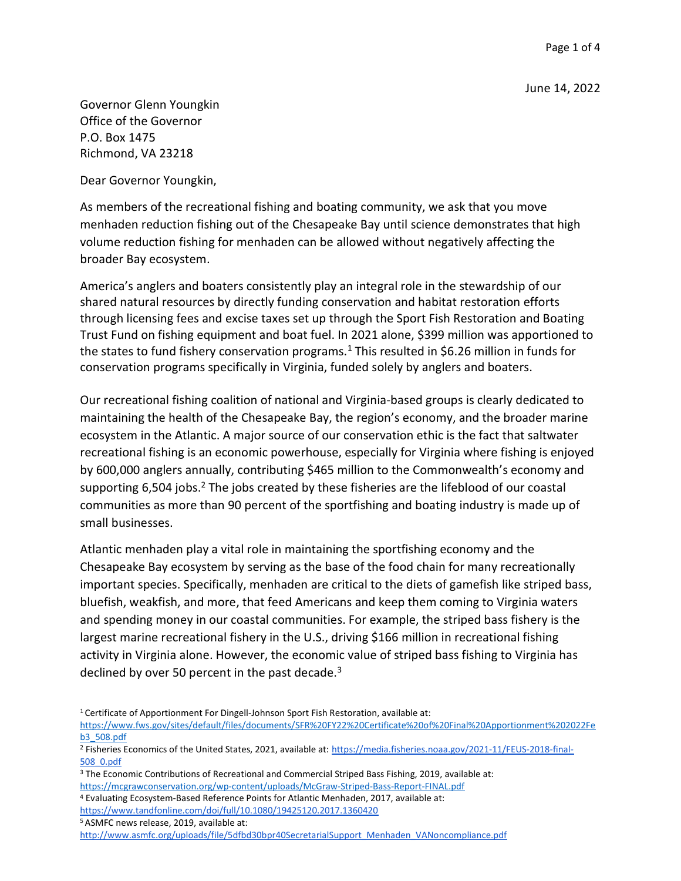Governor Glenn Youngkin Office of the Governor P.O. Box 1475 Richmond, VA 23218

Dear Governor Youngkin,

As members of the recreational fishing and boating community, we ask that you move menhaden reduction fishing out of the Chesapeake Bay until science demonstrates that high volume reduction fishing for menhaden can be allowed without negatively affecting the broader Bay ecosystem.

America's anglers and boaters consistently play an integral role in the stewardship of our shared natural resources by directly funding conservation and habitat restoration efforts through licensing fees and excise taxes set up through the Sport Fish Restoration and Boating Trust Fund on fishing equipment and boat fuel. In 2021 alone, \$399 million was apportioned to the states to fund fishery conservation programs.<sup>1</sup> This resulted in \$6.26 million in funds for conservation programs specifically in Virginia, funded solely by anglers and boaters.

Our recreational fishing coalition of national and Virginia-based groups is clearly dedicated to maintaining the health of the Chesapeake Bay, the region's economy, and the broader marine ecosystem in the Atlantic. A major source of our conservation ethic is the fact that saltwater recreational fishing is an economic powerhouse, especially for Virginia where fishing is enjoyed by 600,000 anglers annually, contributing \$465 million to the Commonwealth's economy and supporting 6,504 jobs.<sup>2</sup> The jobs created by these fisheries are the lifeblood of our coastal communities as more than 90 percent of the sportfishing and boating industry is made up of small businesses.

Atlantic menhaden play a vital role in maintaining the sportfishing economy and the Chesapeake Bay ecosystem by serving as the base of the food chain for many recreationally important species. Specifically, menhaden are critical to the diets of gamefish like striped bass, bluefish, weakfish, and more, that feed Americans and keep them coming to Virginia waters and spending money in our coastal communities. For example, the striped bass fishery is the largest marine recreational fishery in the U.S., driving \$166 million in recreational fishing activity in Virginia alone. However, the economic value of striped bass fishing to Virginia has declined by over 50 percent in the past decade. $3$ 

<sup>5</sup> ASMFC news release, 2019, available at:

<sup>1</sup>Certificate of Apportionment For Dingell-Johnson Sport Fish Restoration, available at:

https://www.fws.gov/sites/default/files/documents/SFR%20FY22%20Certificate%20of%20Final%20Apportionment%202022Fe b3\_508.pdf

<sup>&</sup>lt;sup>2</sup> Fisheries Economics of the United States, 2021, available at: https://media.fisheries.noaa.gov/2021-11/FEUS-2018-final-508\_0.pdf

<sup>&</sup>lt;sup>3</sup> The Economic Contributions of Recreational and Commercial Striped Bass Fishing, 2019, available at: https://mcgrawconservation.org/wp-content/uploads/McGraw-Striped-Bass-Report-FINAL.pdf

<sup>4</sup> Evaluating Ecosystem-Based Reference Points for Atlantic Menhaden, 2017, available at:

https://www.tandfonline.com/doi/full/10.1080/19425120.2017.1360420

http://www.asmfc.org/uploads/file/5dfbd30bpr40SecretarialSupport\_Menhaden\_VANoncompliance.pdf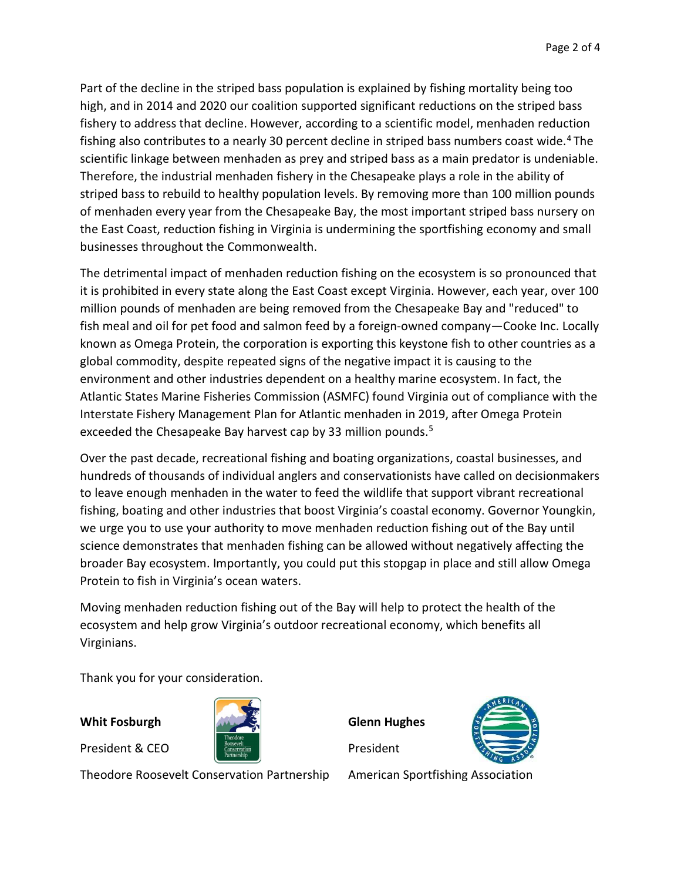Part of the decline in the striped bass population is explained by fishing mortality being too high, and in 2014 and 2020 our coalition supported significant reductions on the striped bass fishery to address that decline. However, according to a scientific model, menhaden reduction fishing also contributes to a nearly 30 percent decline in striped bass numbers coast wide.<sup>4</sup> The scientific linkage between menhaden as prey and striped bass as a main predator is undeniable. Therefore, the industrial menhaden fishery in the Chesapeake plays a role in the ability of striped bass to rebuild to healthy population levels. By removing more than 100 million pounds of menhaden every year from the Chesapeake Bay, the most important striped bass nursery on the East Coast, reduction fishing in Virginia is undermining the sportfishing economy and small businesses throughout the Commonwealth.

The detrimental impact of menhaden reduction fishing on the ecosystem is so pronounced that it is prohibited in every state along the East Coast except Virginia. However, each year, over 100 million pounds of menhaden are being removed from the Chesapeake Bay and "reduced" to fish meal and oil for pet food and salmon feed by a foreign-owned company—Cooke Inc. Locally known as Omega Protein, the corporation is exporting this keystone fish to other countries as a global commodity, despite repeated signs of the negative impact it is causing to the environment and other industries dependent on a healthy marine ecosystem. In fact, the Atlantic States Marine Fisheries Commission (ASMFC) found Virginia out of compliance with the Interstate Fishery Management Plan for Atlantic menhaden in 2019, after Omega Protein exceeded the Chesapeake Bay harvest cap by 33 million pounds.<sup>5</sup>

Over the past decade, recreational fishing and boating organizations, coastal businesses, and hundreds of thousands of individual anglers and conservationists have called on decisionmakers to leave enough menhaden in the water to feed the wildlife that support vibrant recreational fishing, boating and other industries that boost Virginia's coastal economy. Governor Youngkin, we urge you to use your authority to move menhaden reduction fishing out of the Bay until science demonstrates that menhaden fishing can be allowed without negatively affecting the broader Bay ecosystem. Importantly, you could put this stopgap in place and still allow Omega Protein to fish in Virginia's ocean waters.

Moving menhaden reduction fishing out of the Bay will help to protect the health of the ecosystem and help grow Virginia's outdoor recreational economy, which benefits all Virginians.

Thank you for your consideration.

Whit Fosburgh

President & CEO



Theodore Roosevelt Conservation Partnership

Glenn Hughes

President



American Sportfishing Association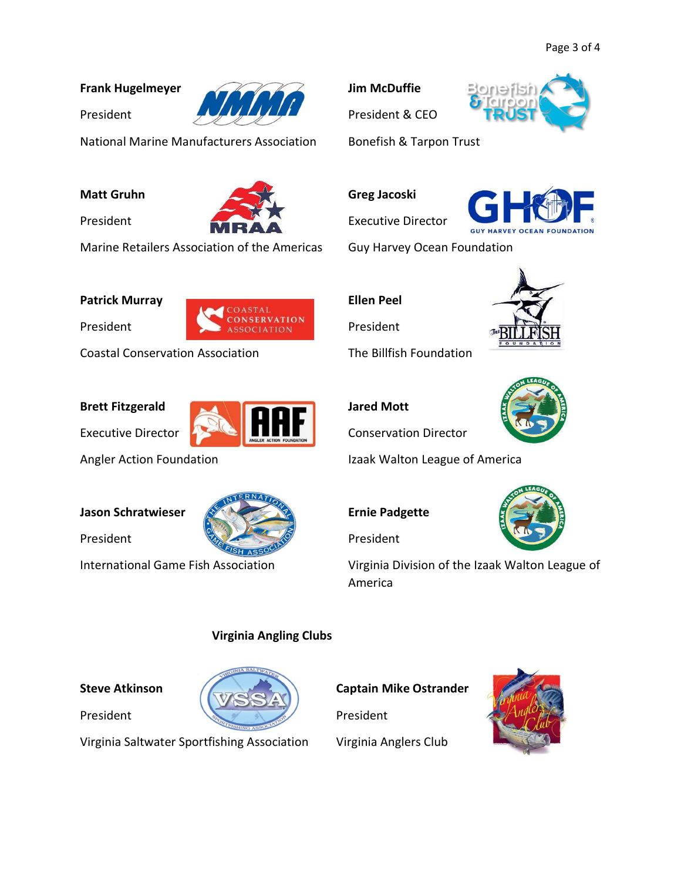# Frank Hugelmeyer



National Marine Manufacturers Association

#### Matt Gruhn

President

President



Marine Retailers Association of the Americas

Patrick Murray

President



Coastal Conservation Association

# Brett Fitzgerald

Executive Director

Angler Action Foundation

#### Jason Schratwieser

President



International Game Fish Association

# Virginia Angling Clubs

# Steve Atkinson

President



Virginia Saltwater Sportfishing Association

Jim McDuffie

President & CEO



# Greg Jacoski

Executive Director



Guy Harvey Ocean Foundation

Ellen Peel

President

The Billfish Foundation



# Jared Mott

Conservation Director

Izaak Walton League of America

Ernie Padgette

President



Virginia Division of the Izaak Walton League of America

#### Captain Mike Ostrander

President

Virginia Anglers Club